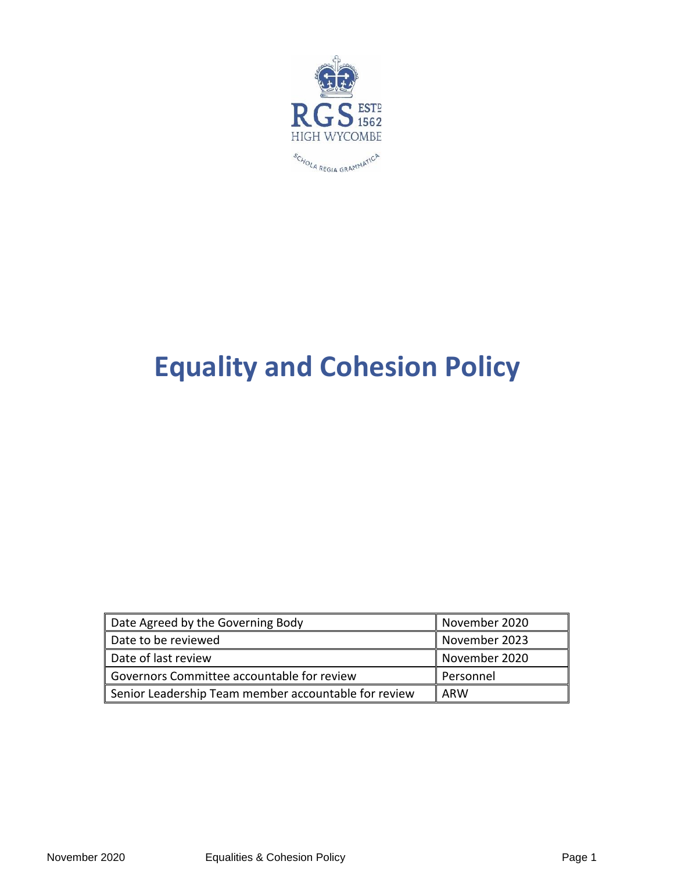

# **Equality and Cohesion Policy**

| Date Agreed by the Governing Body                    | November 2020 |
|------------------------------------------------------|---------------|
| Date to be reviewed                                  | November 2023 |
| Date of last review                                  | November 2020 |
| Governors Committee accountable for review           | Personnel     |
| Senior Leadership Team member accountable for review | II ARW        |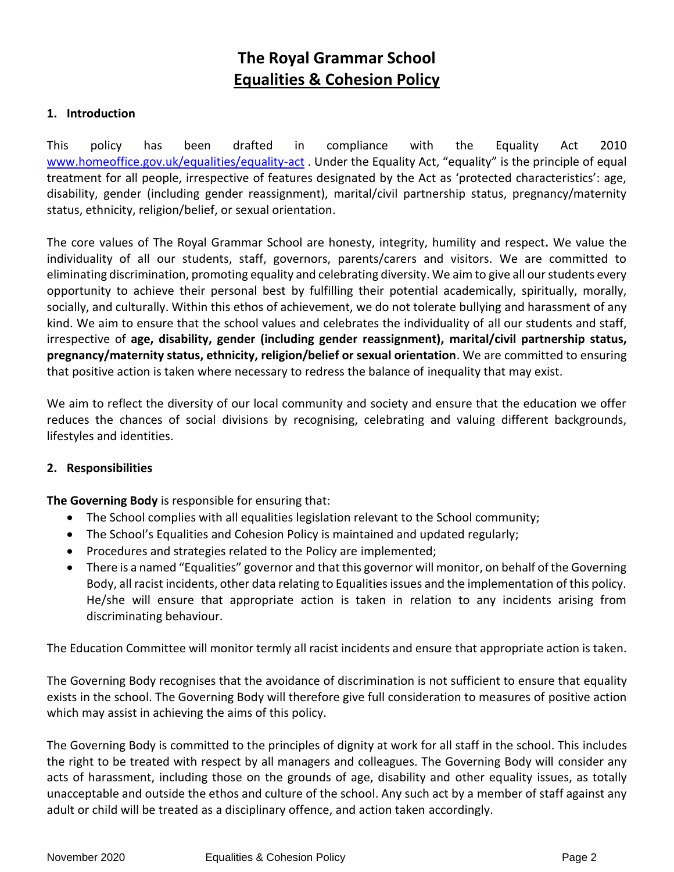# **The Royal Grammar School Equalities & Cohesion Policy**

#### **1. Introduction**

This policy has been drafted in compliance with the Equality Act 2010 [www.homeoffice.gov.uk/equalities/equality-act](http://www.homeoffice.gov.uk/equalities/equality-act). Under the Equality Act, "equality" is the principle of equal treatment for all people, irrespective of features designated by the Act as 'protected characteristics': age, disability, gender (including gender reassignment), marital/civil partnership status, pregnancy/maternity status, ethnicity, religion/belief, or sexual orientation.

The core values of The Royal Grammar School are honesty, integrity, humility and respect**.** We value the individuality of all our students, staff, governors, parents/carers and visitors. We are committed to eliminating discrimination, promoting equality and celebrating diversity. We aim to give all our students every opportunity to achieve their personal best by fulfilling their potential academically, spiritually, morally, socially, and culturally. Within this ethos of achievement, we do not tolerate bullying and harassment of any kind. We aim to ensure that the school values and celebrates the individuality of all our students and staff, irrespective of **age, disability, gender (including gender reassignment), marital/civil partnership status, pregnancy/maternity status, ethnicity, religion/belief or sexual orientation**. We are committed to ensuring that positive action is taken where necessary to redress the balance of inequality that may exist.

We aim to reflect the diversity of our local community and society and ensure that the education we offer reduces the chances of social divisions by recognising, celebrating and valuing different backgrounds, lifestyles and identities.

#### **2. Responsibilities**

**The Governing Body** is responsible for ensuring that:

- The School complies with all equalities legislation relevant to the School community;
- The School's Equalities and Cohesion Policy is maintained and updated regularly;
- Procedures and strategies related to the Policy are implemented;
- There is a named "Equalities" governor and that this governor will monitor, on behalf of the Governing Body, all racist incidents, other data relating to Equalities issues and the implementation of this policy. He/she will ensure that appropriate action is taken in relation to any incidents arising from discriminating behaviour.

The Education Committee will monitor termly all racist incidents and ensure that appropriate action is taken.

The Governing Body recognises that the avoidance of discrimination is not sufficient to ensure that equality exists in the school. The Governing Body will therefore give full consideration to measures of positive action which may assist in achieving the aims of this policy.

The Governing Body is committed to the principles of dignity at work for all staff in the school. This includes the right to be treated with respect by all managers and colleagues. The Governing Body will consider any acts of harassment, including those on the grounds of age, disability and other equality issues, as totally unacceptable and outside the ethos and culture of the school. Any such act by a member of staff against any adult or child will be treated as a disciplinary offence, and action taken accordingly.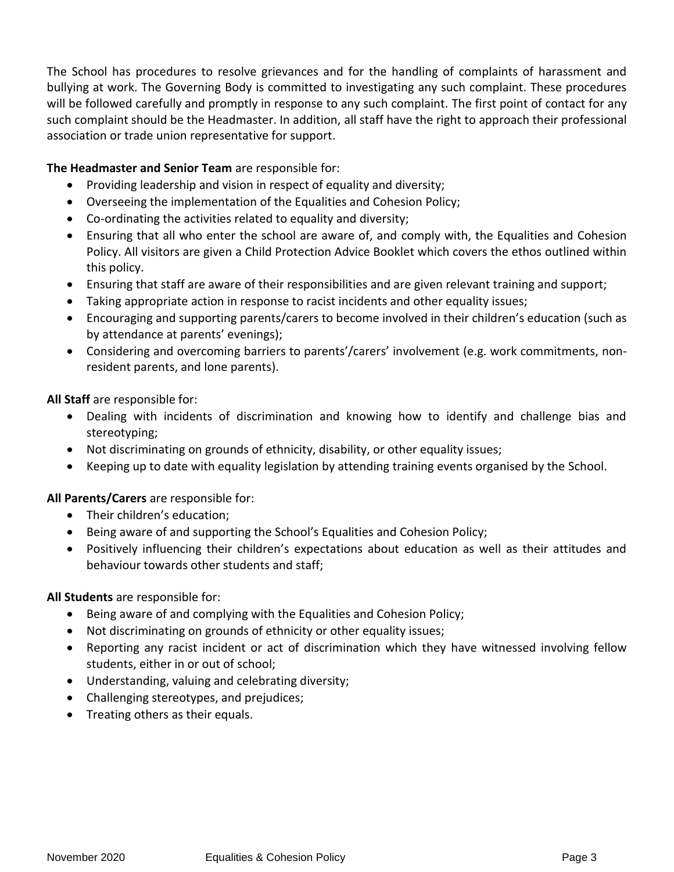The School has procedures to resolve grievances and for the handling of complaints of harassment and bullying at work. The Governing Body is committed to investigating any such complaint. These procedures will be followed carefully and promptly in response to any such complaint. The first point of contact for any such complaint should be the Headmaster. In addition, all staff have the right to approach their professional association or trade union representative for support.

## **The Headmaster and Senior Team** are responsible for:

- Providing leadership and vision in respect of equality and diversity;
- Overseeing the implementation of the Equalities and Cohesion Policy;
- Co-ordinating the activities related to equality and diversity;
- Ensuring that all who enter the school are aware of, and comply with, the Equalities and Cohesion Policy. All visitors are given a Child Protection Advice Booklet which covers the ethos outlined within this policy.
- Ensuring that staff are aware of their responsibilities and are given relevant training and support;
- Taking appropriate action in response to racist incidents and other equality issues;
- Encouraging and supporting parents/carers to become involved in their children's education (such as by attendance at parents' evenings);
- Considering and overcoming barriers to parents'/carers' involvement (e.g. work commitments, nonresident parents, and lone parents).

**All Staff** are responsible for:

- Dealing with incidents of discrimination and knowing how to identify and challenge bias and stereotyping;
- Not discriminating on grounds of ethnicity, disability, or other equality issues;
- Keeping up to date with equality legislation by attending training events organised by the School.

## **All Parents/Carers** are responsible for:

- Their children's education;
- Being aware of and supporting the School's Equalities and Cohesion Policy;
- Positively influencing their children's expectations about education as well as their attitudes and behaviour towards other students and staff;

## **All Students** are responsible for:

- Being aware of and complying with the Equalities and Cohesion Policy;
- Not discriminating on grounds of ethnicity or other equality issues;
- Reporting any racist incident or act of discrimination which they have witnessed involving fellow students, either in or out of school;
- Understanding, valuing and celebrating diversity;
- Challenging stereotypes, and prejudices;
- Treating others as their equals.